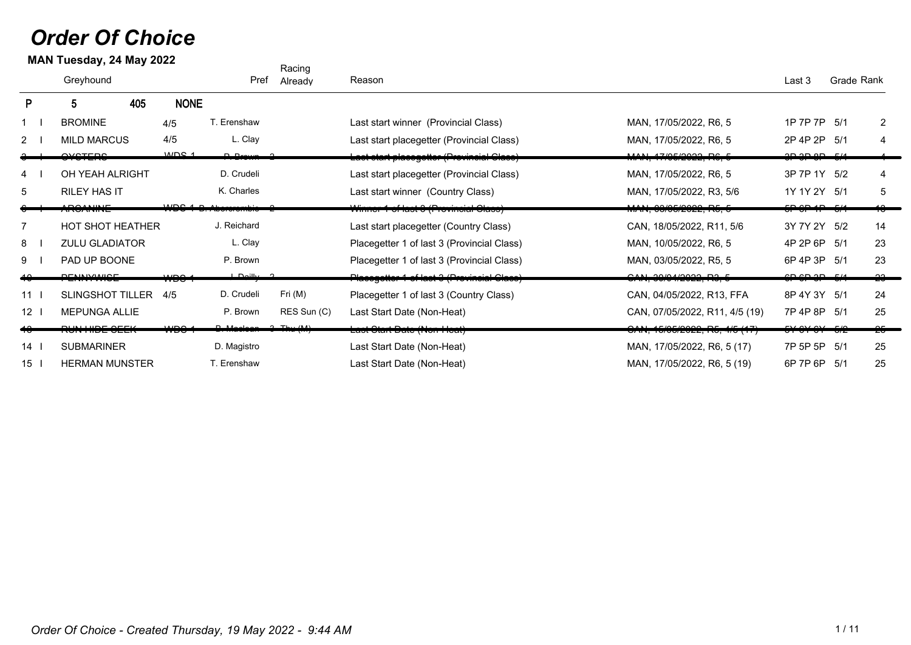## *Order Of Choice*

|                | MAN Tuesday, 24 May 2022                     |     |                                                                                            |                  |                   |                                                                |                                                                                                                            |                   |            |     |
|----------------|----------------------------------------------|-----|--------------------------------------------------------------------------------------------|------------------|-------------------|----------------------------------------------------------------|----------------------------------------------------------------------------------------------------------------------------|-------------------|------------|-----|
|                | Greyhound                                    |     | Pref                                                                                       |                  | Racing<br>Already | Reason                                                         |                                                                                                                            | Last 3            | Grade Rank |     |
| P              | 5                                            | 405 | <b>NONE</b>                                                                                |                  |                   |                                                                |                                                                                                                            |                   |            |     |
|                | <b>BROMINE</b>                               |     | 4/5                                                                                        | T. Erenshaw      |                   | Last start winner (Provincial Class)                           | MAN, 17/05/2022, R6, 5                                                                                                     | 1P 7P 7P 5/1      |            |     |
| $\mathbf{2}^-$ | <b>MILD MARCUS</b>                           |     | 4/5                                                                                        | L. Clay          |                   | Last start placegetter (Provincial Class)                      | MAN, 17/05/2022, R6, 5                                                                                                     | 2P 4P 2P          | 5/1        |     |
|                | $\sim$ $\sim$ $\sim$ $\sim$                  |     | MDC <sub>1</sub>                                                                           | $D$ $D$ rown $2$ |                   | Lact clart placegetter (Provincial Clace)                      | MAN 4710510000 DC F                                                                                                        | 2D2D2D7H          |            |     |
| 4              | OH YEAH ALRIGHT                              |     |                                                                                            | D. Crudeli       |                   | Last start placegetter (Provincial Class)                      | MAN, 17/05/2022, R6, 5                                                                                                     | 3P 7P 1Y 5/2      |            |     |
| 5              | <b>RILEY HAS IT</b>                          |     |                                                                                            | K. Charles       |                   | Last start winner (Country Class)                              | MAN, 17/05/2022, R3, 5/6                                                                                                   | 1Y 1Y 2Y 5/1      |            |     |
|                |                                              |     | $\begin{array}{c}\n\text{MIDC} & \text{A} & \text{B} & \text{A} & \text{B} \\ \end{array}$ |                  |                   | พัพแทน 1 มี โฉ่งเ ม <sub>ไ</sub> ป เมพแมนเ มีเฉอง <sub>/</sub> | 1717 11 17, OO/OO/ZOZZ, INO, O                                                                                             |                   |            |     |
| 7              | <b>HOT SHOT HEATHER</b>                      |     |                                                                                            | J. Reichard      |                   | Last start placegetter (Country Class)                         | CAN, 18/05/2022, R11, 5/6                                                                                                  | 3Y 7Y 2Y          | 5/2        | 14  |
| 8              | <b>ZULU GLADIATOR</b>                        |     |                                                                                            | L. Clay          |                   | Placegetter 1 of last 3 (Provincial Class)                     | MAN, 10/05/2022, R6, 5                                                                                                     | 4P 2P 6P          | 5/1        | 23  |
| 9              | PAD UP BOONE                                 |     |                                                                                            | P. Brown         |                   | Placegetter 1 of last 3 (Provincial Class)                     | MAN, 03/05/2022, R5, 5                                                                                                     | 6P 4P 3P          | 5/1        | 23  |
|                | DEMINAMMOE                                   |     | ے صحیحت                                                                                    | ف بالنوط ا       |                   | Placegetter 1 of lact 3 (Provincial Glace)                     | <u>ANI AAMINAAA DA E</u><br>11 11 00 0 11 0 0 0 0 1 1 1 1 1 1 0 1 1                                                        | CDCDADLIA         |            | ഛ   |
| 11             | <b>SLINGSHOT TILLER</b>                      |     | 4/5                                                                                        | D. Crudeli       | Fri (M)           | Placegetter 1 of last 3 (Country Class)                        | CAN, 04/05/2022, R13, FFA                                                                                                  | 8P 4Y 3Y          | 5/1        | 24  |
| 12             | <b>MEPUNGA ALLIE</b>                         |     |                                                                                            | P. Brown         | RES Sun (C)       | Last Start Date (Non-Heat)                                     | CAN, 07/05/2022, R11, 4/5 (19)                                                                                             | 7P 4P 8P          | 5/1        | 25  |
|                | <u>DUNUUDE AEEK</u><br>,,,,,,,,,,,,,,,,,,,,, |     | $\cdots$<br>moo                                                                            | <u>Dalastron</u> | $2.74 \cdot 111$  | <del>Last Start Date (Non Heat)</del>                          | $\begin{array}{c} \n\hline\n\text{All} & \text{if} \\ \hline\n\end{array}$<br><del>97111. 1010012022, 110, 110 (11</del> ) | <u>EVAVAV FIQ</u> |            | -25 |
| 14             | <b>SUBMARINER</b>                            |     |                                                                                            | D. Magistro      |                   | Last Start Date (Non-Heat)                                     | MAN, 17/05/2022, R6, 5 (17)                                                                                                | 7P 5P 5P          | 5/1        | 25  |
| $15$           | <b>HERMAN MUNSTER</b>                        |     |                                                                                            | T. Erenshaw      |                   | Last Start Date (Non-Heat)                                     | MAN, 17/05/2022, R6, 5 (19)                                                                                                | 6P 7P 6P          | 5/1        | 25  |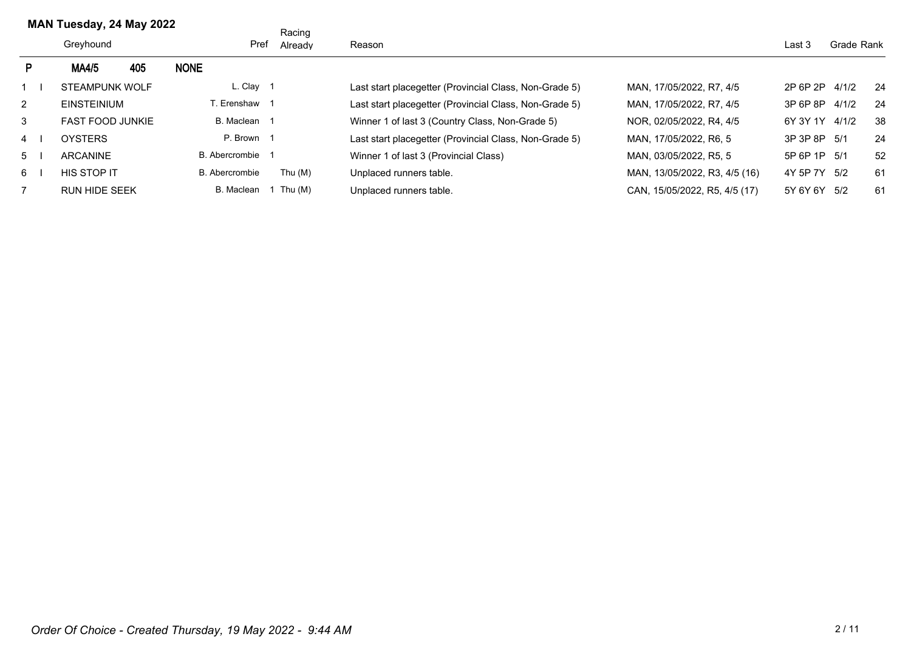|                | MAN Tuesday, 24 May 2022 |     |                | Racing            |                                                        |                               |                |            |     |
|----------------|--------------------------|-----|----------------|-------------------|--------------------------------------------------------|-------------------------------|----------------|------------|-----|
|                | Greyhound                |     | Pref           | Reason<br>Already |                                                        |                               | Last 3         | Grade Rank |     |
| P.             | <b>MA4/5</b>             | 405 | <b>NONE</b>    |                   |                                                        |                               |                |            |     |
| $1 \quad$      | <b>STEAMPUNK WOLF</b>    |     | L. Clay $1$    |                   | Last start placegetter (Provincial Class, Non-Grade 5) | MAN. 17/05/2022. R7. 4/5      | 2P 6P 2P       | 4/1/2      | -24 |
| $\overline{2}$ | <b>EINSTEINIUM</b>       |     | . Erenshaw 1   |                   | Last start placegetter (Provincial Class, Non-Grade 5) | MAN, 17/05/2022, R7, 4/5      | 3P 6P 8P       | 4/1/2      | -24 |
| 3              | <b>FAST FOOD JUNKIE</b>  |     | B. Maclean 1   |                   | Winner 1 of last 3 (Country Class, Non-Grade 5)        | NOR, 02/05/2022, R4, 4/5      | 6Y 3Y 1Y 4/1/2 |            | -38 |
| 4              | <b>OYSTERS</b>           |     | P. Brown 1     |                   | Last start placegetter (Provincial Class, Non-Grade 5) | MAN. 17/05/2022. R6. 5        | 3P 3P 8P 5/1   |            | 24  |
| $5^{\circ}$    | <b>ARCANINE</b>          |     | B. Abercrombie |                   | Winner 1 of last 3 (Provincial Class)                  | MAN. 03/05/2022. R5. 5        | 5P 6P 1P 5/1   |            | 52  |
| 6              | HIS STOP IT              |     | B. Abercrombie | Thu $(M)$         | Unplaced runners table.                                | MAN, 13/05/2022, R3, 4/5 (16) | 4Y 5P 7Y 5/2   |            | 61  |
|                | <b>RUN HIDE SEEK</b>     |     | B. Maclean     | Thu $(M)$         | Unplaced runners table.                                | CAN, 15/05/2022, R5, 4/5 (17) | 5Y 6Y 6Y 5/2   |            | 61  |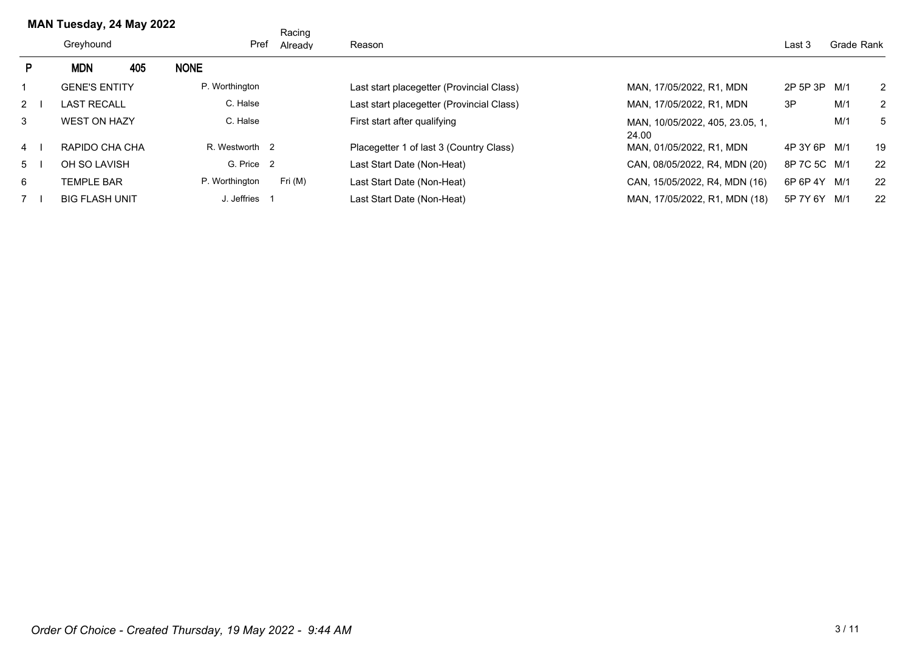## **MAN Tuesday, 24 May 2022**

|                | Greyhound             |     | Pref           | Racing<br>Already | Reason                                    |                                          | Last 3       | Grade Rank |    |
|----------------|-----------------------|-----|----------------|-------------------|-------------------------------------------|------------------------------------------|--------------|------------|----|
| P.             | <b>MDN</b>            | 405 | <b>NONE</b>    |                   |                                           |                                          |              |            |    |
|                | <b>GENE'S ENTITY</b>  |     | P. Worthington |                   | Last start placegetter (Provincial Class) | MAN, 17/05/2022, R1, MDN                 | 2P 5P 3P M/1 |            | 2  |
| $2 \mid$       | LAST RECALL           |     | C. Halse       |                   | Last start placegetter (Provincial Class) | MAN, 17/05/2022, R1, MDN                 | 3P           | M/1        | 2  |
| 3              | <b>WEST ON HAZY</b>   |     | C. Halse       |                   | First start after qualifying              | MAN. 10/05/2022. 405. 23.05. 1.<br>24.00 |              | M/1        | 5  |
| $\overline{4}$ | RAPIDO CHA CHA        |     | R. Westworth 2 |                   | Placegetter 1 of last 3 (Country Class)   | MAN. 01/05/2022. R1. MDN                 | 4P 3Y 6P M/1 |            | 19 |
| $5 \quad$      | OH SO LAVISH          |     | G. Price 2     |                   | Last Start Date (Non-Heat)                | CAN, 08/05/2022, R4, MDN (20)            | 8P 7C 5C M/1 |            | 22 |
| 6              | <b>TEMPLE BAR</b>     |     | P. Worthington | Fri (M)           | Last Start Date (Non-Heat)                | CAN, 15/05/2022, R4, MDN (16)            | 6P 6P 4Y M/1 |            | 22 |
|                | <b>BIG FLASH UNIT</b> |     | J. Jeffries 1  |                   | Last Start Date (Non-Heat)                | MAN. 17/05/2022. R1. MDN (18)            | 5P 7Y 6Y M/1 |            | 22 |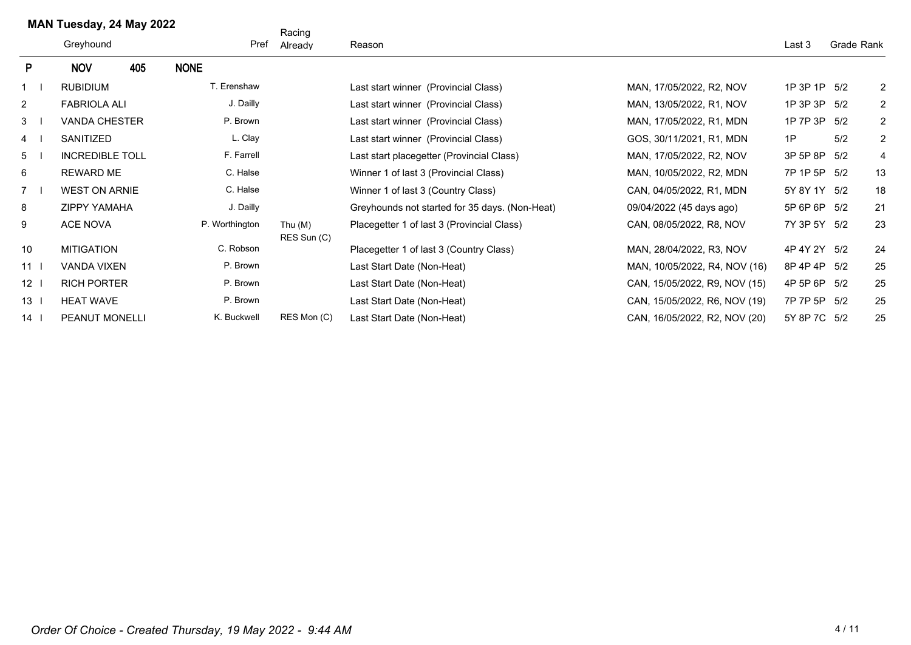|                 | MAN Tuesday, 24 May 2022 |     |             |                | Racing                   |                                                |                               |              |                       |
|-----------------|--------------------------|-----|-------------|----------------|--------------------------|------------------------------------------------|-------------------------------|--------------|-----------------------|
|                 | Greyhound                |     |             | Pref           | Already                  | Reason                                         |                               | Last 3       | Grade Rank            |
| P               | <b>NOV</b>               | 405 | <b>NONE</b> |                |                          |                                                |                               |              |                       |
|                 | <b>RUBIDIUM</b>          |     |             | T. Erenshaw    |                          | Last start winner (Provincial Class)           | MAN, 17/05/2022, R2, NOV      | 1P 3P 1P 5/2 | $\overline{2}$        |
| $\overline{2}$  | <b>FABRIOLA ALI</b>      |     |             | J. Dailly      |                          | Last start winner (Provincial Class)           | MAN, 13/05/2022, R1, NOV      | 1P 3P 3P 5/2 | $\overline{2}$        |
| 3               | <b>VANDA CHESTER</b>     |     |             | P. Brown       |                          | Last start winner (Provincial Class)           | MAN, 17/05/2022, R1, MDN      | 1P 7P 3P     | $\overline{2}$<br>5/2 |
| $\overline{4}$  | SANITIZED                |     |             | L. Clay        |                          | Last start winner (Provincial Class)           | GOS, 30/11/2021, R1, MDN      | 1P           | $\overline{2}$<br>5/2 |
| 5               | <b>INCREDIBLE TOLL</b>   |     |             | F. Farrell     |                          | Last start placegetter (Provincial Class)      | MAN, 17/05/2022, R2, NOV      | 3P 5P 8P 5/2 | 4                     |
| 6               | <b>REWARD ME</b>         |     |             | C. Halse       |                          | Winner 1 of last 3 (Provincial Class)          | MAN, 10/05/2022, R2, MDN      | 7P 1P 5P 5/2 | 13                    |
| $7^{\circ}$     | <b>WEST ON ARNIE</b>     |     |             | C. Halse       |                          | Winner 1 of last 3 (Country Class)             | CAN, 04/05/2022, R1, MDN      | 5Y 8Y 1Y 5/2 | 18                    |
| 8               | <b>ZIPPY YAMAHA</b>      |     |             | J. Dailly      |                          | Greyhounds not started for 35 days. (Non-Heat) | 09/04/2022 (45 days ago)      | 5P 6P 6P 5/2 | 21                    |
| 9               | ACE NOVA                 |     |             | P. Worthington | Thu $(M)$<br>RES Sun (C) | Placegetter 1 of last 3 (Provincial Class)     | CAN, 08/05/2022, R8, NOV      | 7Y 3P 5Y 5/2 | 23                    |
| 10              | <b>MITIGATION</b>        |     |             | C. Robson      |                          | Placegetter 1 of last 3 (Country Class)        | MAN, 28/04/2022, R3, NOV      | 4P 4Y 2Y 5/2 | 24                    |
| 11 <sup>1</sup> | <b>VANDA VIXEN</b>       |     |             | P. Brown       |                          | Last Start Date (Non-Heat)                     | MAN, 10/05/2022, R4, NOV (16) | 8P 4P 4P 5/2 | 25                    |
| $12$            | <b>RICH PORTER</b>       |     |             | P. Brown       |                          | Last Start Date (Non-Heat)                     | CAN, 15/05/2022, R9, NOV (15) | 4P 5P 6P 5/2 | 25                    |
| 13 <sup>1</sup> | <b>HEAT WAVE</b>         |     |             | P. Brown       |                          | Last Start Date (Non-Heat)                     | CAN, 15/05/2022, R6, NOV (19) | 7P 7P 5P 5/2 | 25                    |
| $14$ l          | <b>PEANUT MONELLI</b>    |     |             | K. Buckwell    | RES Mon (C)              | Last Start Date (Non-Heat)                     | CAN, 16/05/2022, R2, NOV (20) | 5Y 8P 7C 5/2 | 25                    |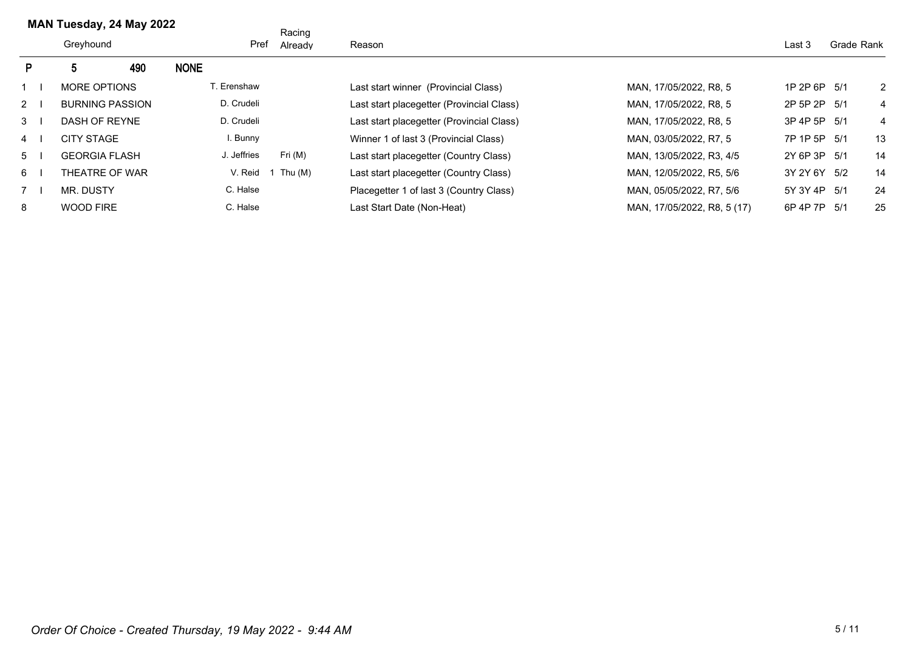## **MAN Tuesday, 24 May 2022**

|           |                      | MAN TUESUAY, 24 MAY 2022 |             | Racing  |                                           |                             |              |            |                |
|-----------|----------------------|--------------------------|-------------|---------|-------------------------------------------|-----------------------------|--------------|------------|----------------|
|           | Greyhound            |                          | Pref        | Already | Reason                                    |                             | Last 3       | Grade Rank |                |
| P.        | 5                    | 490                      | <b>NONE</b> |         |                                           |                             |              |            |                |
|           | <b>MORE OPTIONS</b>  |                          | . Erenshaw  |         | Last start winner (Provincial Class)      | MAN, 17/05/2022, R8, 5      | 1P 2P 6P 5/1 |            | $\overline{2}$ |
| $2 \mid$  |                      | <b>BURNING PASSION</b>   | D. Crudeli  |         | Last start placegetter (Provincial Class) | MAN, 17/05/2022, R8, 5      | 2P 5P 2P 5/1 |            | 4              |
| $3 \mid$  | DASH OF REYNE        |                          | D. Crudeli  |         | Last start placegetter (Provincial Class) | MAN, 17/05/2022, R8, 5      | 3P 4P 5P 5/1 |            | 4              |
| $4 \mid$  | <b>CITY STAGE</b>    |                          | I. Bunny    |         | Winner 1 of last 3 (Provincial Class)     | MAN, 03/05/2022, R7, 5      | 7P 1P 5P 5/1 |            | 13             |
| $5 \quad$ | <b>GEORGIA FLASH</b> |                          | J. Jeffries | Fri (M) | Last start placegetter (Country Class)    | MAN, 13/05/2022, R3, 4/5    | 2Y 6P 3P 5/1 |            | 14             |
| 6         |                      | THEATRE OF WAR           | V. Reid     | Thu (M) | Last start placegetter (Country Class)    | MAN, 12/05/2022, R5, 5/6    | 3Y 2Y 6Y 5/2 |            | 14             |
|           | MR. DUSTY            |                          | C. Halse    |         | Placegetter 1 of last 3 (Country Class)   | MAN, 05/05/2022, R7, 5/6    | 5Y 3Y 4P 5/1 |            | 24             |
| 8         | <b>WOOD FIRE</b>     |                          | C. Halse    |         | Last Start Date (Non-Heat)                | MAN, 17/05/2022, R8, 5 (17) | 6P 4P 7P 5/1 |            | 25             |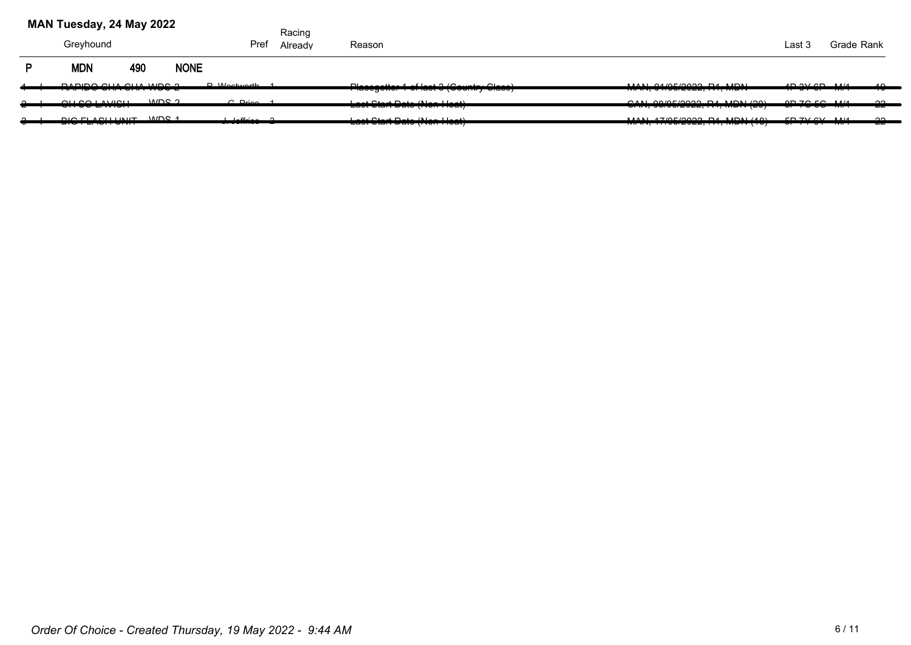|   | MAN Tuesday, 24 May 2022                                 |     |             |               | Racing  |                                                                                                                 |                              |                                                                                                                                                                                                                                                                                                                                                                                                      |            |               |
|---|----------------------------------------------------------|-----|-------------|---------------|---------|-----------------------------------------------------------------------------------------------------------------|------------------------------|------------------------------------------------------------------------------------------------------------------------------------------------------------------------------------------------------------------------------------------------------------------------------------------------------------------------------------------------------------------------------------------------------|------------|---------------|
|   | Greyhound                                                |     |             | Pref          | Already | Reason                                                                                                          |                              | ∟ast 3                                                                                                                                                                                                                                                                                                                                                                                               | Grade Rank |               |
| D | <b>MDN</b>                                               | 490 | <b>NONE</b> |               |         |                                                                                                                 |                              |                                                                                                                                                                                                                                                                                                                                                                                                      |            |               |
|   | DADIDO OUA OUA MIDO O                                    |     |             | $D$ $M$       |         | Discovettor 1 of loot 2 (Country Close)<br>$+$ 1000901101 + 01 1001 0 10001111 + 010007                         | MANI 04/05/0000 D4 MDNL      | $AD$ $Q$ $Q$ $D$ $R$ $R$ $R$<br><del>.</del>                                                                                                                                                                                                                                                                                                                                                         |            | $\sqrt{2}$    |
|   | QH QQ H M U H                                            |     | $MDC$ 2     | $C$ Drigg $4$ |         | Load Olant Data (Man Haal)<br><del>_ao. o.a o a.o ,ooa.</del> ,                                                 | $OMU$ 00/05/0000 DA MDN (00) | $0\overline{D}$ $\overline{C}$ $\overline{C}$ $\overline{D}$ $\overline{D}$ $\overline{D}$ $\overline{D}$ $\overline{D}$ $\overline{D}$ $\overline{D}$ $\overline{D}$ $\overline{D}$ $\overline{D}$ $\overline{D}$ $\overline{D}$ $\overline{D}$ $\overline{D}$ $\overline{D}$ $\overline{D}$ $\overline{D}$ $\overline{D}$ $\overline{D}$ $\overline{D}$ $\overline{D}$ $\overline$<br><del>.</del> |            | ົດດ           |
|   | $DIO$ $E[10111111T]$ $MDC$ 1<br><del>,,,,,,,,,,,,,</del> |     |             | $L$ $leftine$ |         | $L = -L Q_{L-1} + D_{L-1}$ , $\langle k   \cdot \rangle$ , $  l_1   \cdot \rangle$<br>Last start bats from Hour | MAN 4710F/000000A MDN 1401   | F D 7V O V 144<br><del>.</del>                                                                                                                                                                                                                                                                                                                                                                       |            | $\sim$<br>--- |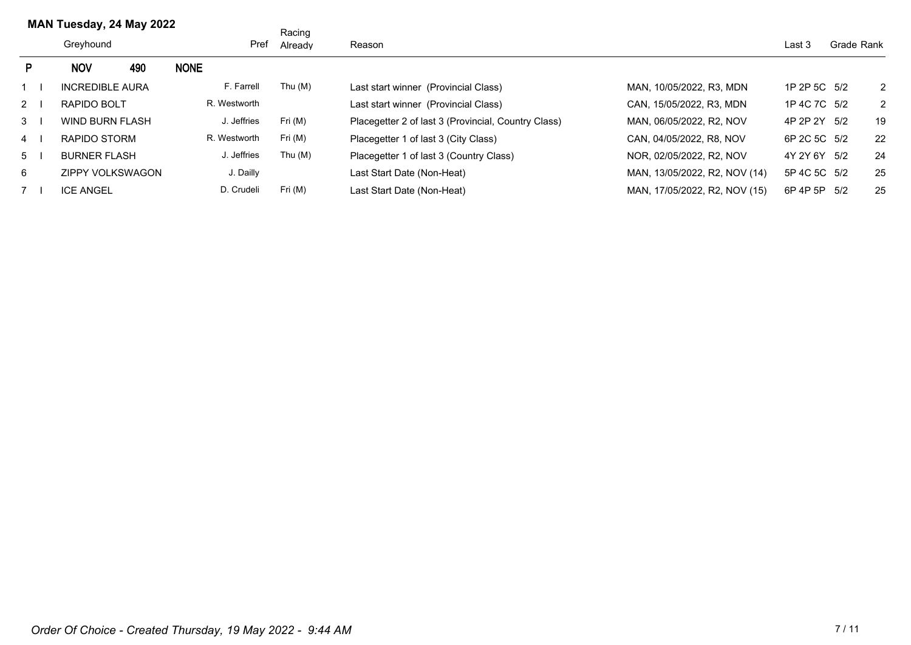|             | MAN Tuesday, 24 May 2022 |     |              |             | Racing    |                                                     |                               |              |            |    |
|-------------|--------------------------|-----|--------------|-------------|-----------|-----------------------------------------------------|-------------------------------|--------------|------------|----|
|             | Greyhound                |     |              | Pref        | Already   | Reason                                              |                               | Last 3       | Grade Rank |    |
| P.          | <b>NOV</b>               | 490 | <b>NONE</b>  |             |           |                                                     |                               |              |            |    |
| $1 \quad$   | <b>INCREDIBLE AURA</b>   |     |              | F. Farrell  | Thu (M)   | Last start winner (Provincial Class)                | MAN, 10/05/2022, R3, MDN      | 1P 2P 5C 5/2 |            | 2  |
| $2 \mid$    | RAPIDO BOLT              |     | R. Westworth |             |           | Last start winner (Provincial Class)                | CAN, 15/05/2022, R3, MDN      | 1P 4C 7C 5/2 |            | 2  |
| $3^{\circ}$ | <b>WIND BURN FLASH</b>   |     |              | J. Jeffries | Fri (M)   | Placegetter 2 of last 3 (Provincial, Country Class) | MAN, 06/05/2022, R2, NOV      | 4P 2P 2Y 5/2 |            | 19 |
| $4 \quad$   | RAPIDO STORM             |     | R. Westworth |             | Fri (M)   | Placegetter 1 of last 3 (City Class)                | CAN. 04/05/2022. R8. NOV      | 6P 2C 5C 5/2 |            | 22 |
| $5 \quad$   | <b>BURNER FLASH</b>      |     |              | J. Jeffries | Thu $(M)$ | Placegetter 1 of last 3 (Country Class)             | NOR, 02/05/2022, R2, NOV      | 4Y 2Y 6Y 5/2 |            | 24 |
| 6           | ZIPPY VOLKSWAGON         |     |              | J. Dailly   |           | Last Start Date (Non-Heat)                          | MAN, 13/05/2022, R2, NOV (14) | 5P 4C 5C 5/2 |            | 25 |
|             | <b>ICE ANGEL</b>         |     | D. Crudeli   |             | Fri (M)   | Last Start Date (Non-Heat)                          | MAN, 17/05/2022, R2, NOV (15) | 6P 4P 5P 5/2 |            | 25 |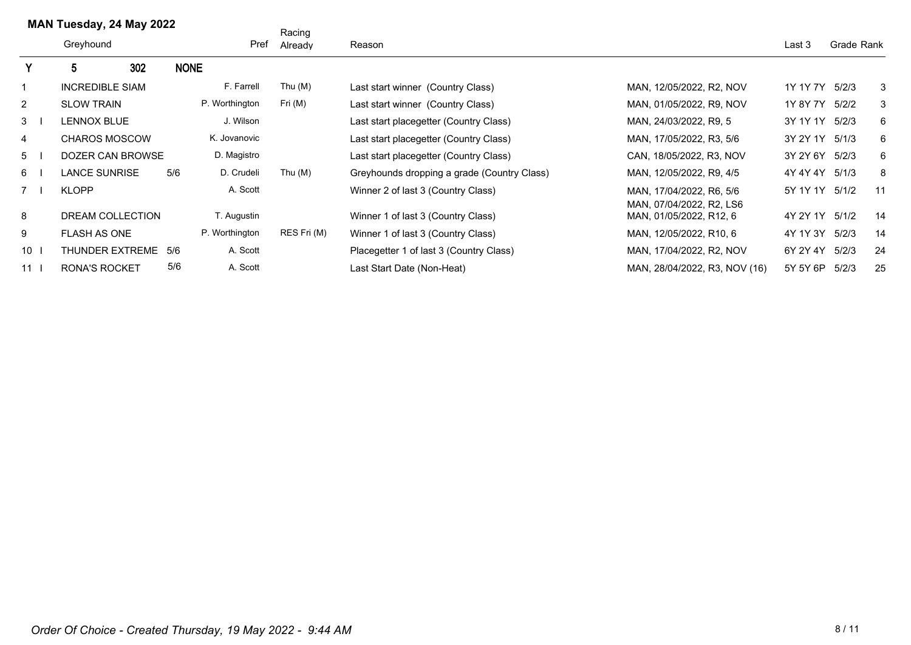|                 | MAN Tuesday, 24 May 2022 |     |             |                | Racing      |                                             |                                                      |                |            |    |
|-----------------|--------------------------|-----|-------------|----------------|-------------|---------------------------------------------|------------------------------------------------------|----------------|------------|----|
|                 | Greyhound                |     |             | Pref           | Already     | Reason                                      |                                                      | Last 3         | Grade Rank |    |
|                 | 5                        | 302 | <b>NONE</b> |                |             |                                             |                                                      |                |            |    |
|                 | <b>INCREDIBLE SIAM</b>   |     |             | F. Farrell     | Thu (M)     | Last start winner (Country Class)           | MAN, 12/05/2022, R2, NOV                             | 1Y 1Y 7Y       | 5/2/3      | 3  |
| $\overline{2}$  | <b>SLOW TRAIN</b>        |     |             | P. Worthington | Fri (M)     | Last start winner (Country Class)           | MAN, 01/05/2022, R9, NOV                             | 1Y 8Y 7Y       | 5/2/2      | 3  |
| 3               | <b>LENNOX BLUE</b>       |     |             | J. Wilson      |             | Last start placegetter (Country Class)      | MAN, 24/03/2022, R9, 5                               | 3Y 1Y 1Y 5/2/3 |            | 6  |
| 4               | <b>CHAROS MOSCOW</b>     |     |             | K. Jovanovic   |             | Last start placegetter (Country Class)      | MAN, 17/05/2022, R3, 5/6                             | 3Y 2Y 1Y       | 5/1/3      | 6  |
| 5               | DOZER CAN BROWSE         |     |             | D. Magistro    |             | Last start placegetter (Country Class)      | CAN, 18/05/2022, R3, NOV                             | 3Y 2Y 6Y 5/2/3 |            | 6  |
| 6               | <b>LANCE SUNRISE</b>     |     | 5/6         | D. Crudeli     | Thu (M)     | Greyhounds dropping a grade (Country Class) | MAN, 12/05/2022, R9, 4/5                             | 4Y 4Y 4Y       | 5/1/3      | 8  |
|                 | <b>KLOPP</b>             |     |             | A. Scott       |             | Winner 2 of last 3 (Country Class)          | MAN, 17/04/2022, R6, 5/6<br>MAN, 07/04/2022, R2, LS6 | 5Y 1Y 1Y       | 5/1/2      | 11 |
| 8               | DREAM COLLECTION         |     |             | T. Augustin    |             | Winner 1 of last 3 (Country Class)          | MAN, 01/05/2022, R12, 6                              | 4Y 2Y 1Y 5/1/2 |            | 14 |
| 9               | <b>FLASH AS ONE</b>      |     |             | P. Worthington | RES Fri (M) | Winner 1 of last 3 (Country Class)          | MAN, 12/05/2022, R10, 6                              | 4Y 1Y 3Y       | 5/2/3      | 14 |
| 10              | THUNDER EXTREME          |     | 5/6         | A. Scott       |             | Placegetter 1 of last 3 (Country Class)     | MAN, 17/04/2022, R2, NOV                             | 6Y 2Y 4Y       | 5/2/3      | 24 |
| 11 <sup>1</sup> | <b>RONA'S ROCKET</b>     |     | 5/6         | A. Scott       |             | Last Start Date (Non-Heat)                  | MAN, 28/04/2022, R3, NOV (16)                        | 5Y 5Y 6P       | 5/2/3      | 25 |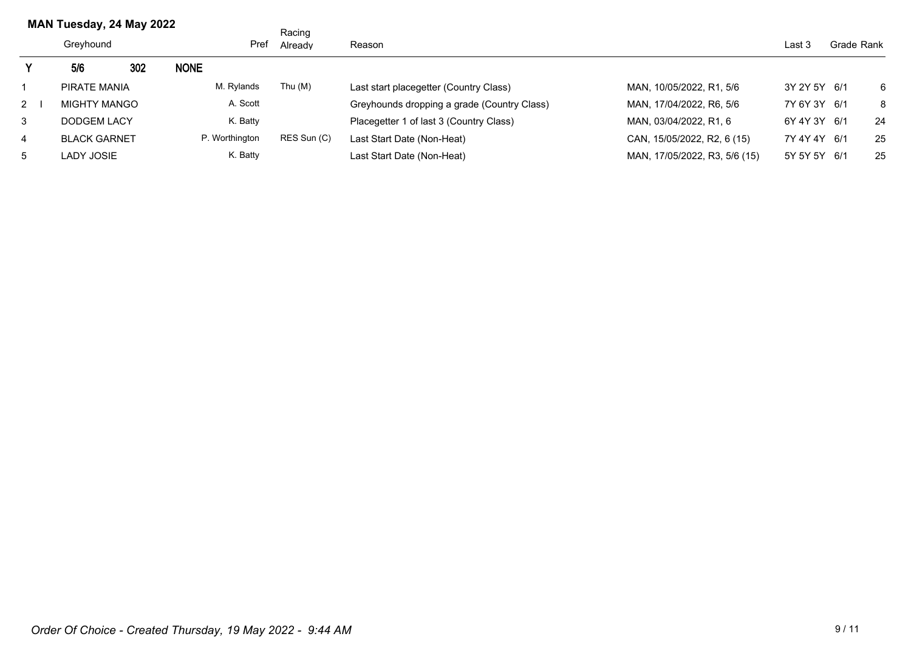|                | MAN Tuesday, 24 May 2022 |     |             |                | Racing      |                                             |                               |              |            |    |
|----------------|--------------------------|-----|-------------|----------------|-------------|---------------------------------------------|-------------------------------|--------------|------------|----|
|                | Greyhound                |     |             | Pref           | Already     | Reason                                      |                               | Last 3       | Grade Rank |    |
|                | 5/6                      | 302 | <b>NONE</b> |                |             |                                             |                               |              |            |    |
|                | PIRATE MANIA             |     |             | M. Rylands     | Thu $(M)$   | Last start placegetter (Country Class)      | MAN, 10/05/2022, R1, 5/6      | 3Y 2Y 5Y 6/1 |            | 6  |
| $2 \quad$      | <b>MIGHTY MANGO</b>      |     |             | A. Scott       |             | Greyhounds dropping a grade (Country Class) | MAN, 17/04/2022, R6, 5/6      | 7Y 6Y 3Y 6/1 |            | 8  |
| 3              | DODGEM LACY              |     |             | K. Batty       |             | Placegetter 1 of last 3 (Country Class)     | MAN, 03/04/2022, R1, 6        | 6Y 4Y 3Y 6/1 |            | 24 |
| $\overline{4}$ | <b>BLACK GARNET</b>      |     |             | P. Worthington | RES Sun (C) | Last Start Date (Non-Heat)                  | CAN, 15/05/2022, R2, 6 (15)   | 7Y 4Y 4Y 6/1 |            | 25 |
| $5^{\circ}$    | LADY JOSIE               |     |             | K. Batty       |             | Last Start Date (Non-Heat)                  | MAN, 17/05/2022, R3, 5/6 (15) | 5Y 5Y 5Y 6/1 |            | 25 |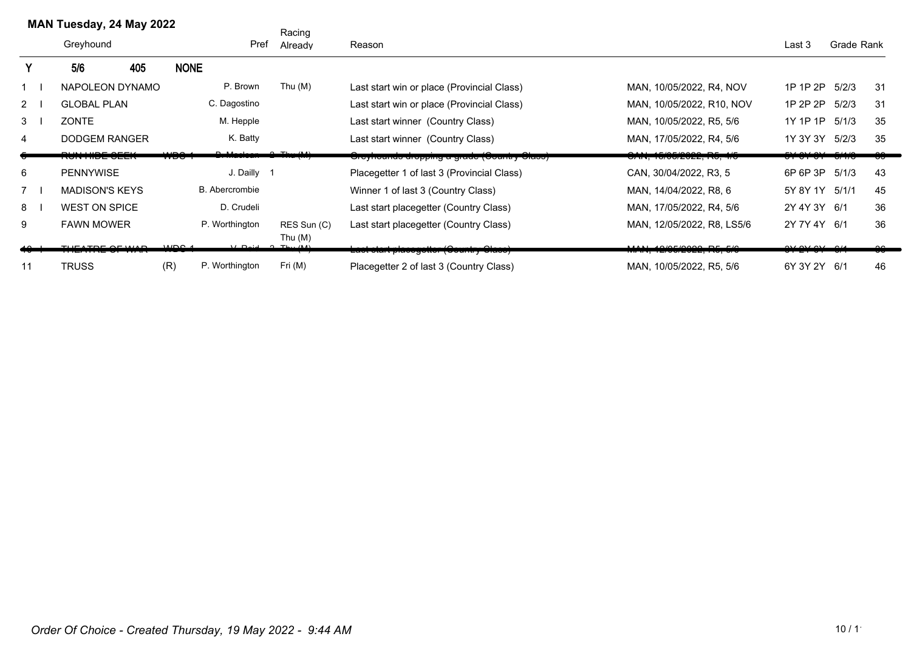|             | MAN Tuesday, 24 May 2022               |             |                | Racing                 |                                                                      |                                                                                  |                |                 |          |
|-------------|----------------------------------------|-------------|----------------|------------------------|----------------------------------------------------------------------|----------------------------------------------------------------------------------|----------------|-----------------|----------|
|             | Greyhound                              |             | Pref           | Already                | Reason                                                               |                                                                                  | Last 3         | Grade Rank      |          |
|             | 5/6<br>405                             | <b>NONE</b> |                |                        |                                                                      |                                                                                  |                |                 |          |
|             | NAPOLEON DYNAMO                        |             | P. Brown       | Thu $(M)$              | Last start win or place (Provincial Class)                           | MAN, 10/05/2022, R4, NOV                                                         | 1P 1P 2P 5/2/3 |                 | -31      |
| $2^{\circ}$ | <b>GLOBAL PLAN</b>                     |             | C. Dagostino   |                        | Last start win or place (Provincial Class)                           | MAN, 10/05/2022, R10, NOV                                                        | 1P 2P 2P 5/2/3 |                 | 31       |
| 3           | <b>ZONTE</b>                           |             | M. Hepple      |                        | Last start winner (Country Class)                                    | MAN, 10/05/2022, R5, 5/6                                                         | 1Y 1P 1P 5/1/3 |                 | 35       |
| 4           | <b>DODGEM RANGER</b>                   |             | K. Batty       |                        | Last start winner (Country Class)                                    | MAN, 17/05/2022, R4, 5/6                                                         | 1Y 3Y 3Y 5/2/3 |                 | 35       |
|             | <b>BULLUDE AFFIL</b><br>NUN TIIDE OEEL | محسب<br>woo |                |                        | orcynoanas aropping a graac (ooanay orass)                           | <del>טוד, הערבעם וט</del> טישו, <b>יוו</b> זט                                    |                | <del>ਗ 17</del> |          |
| 6           | <b>PENNYWISE</b>                       |             | J. Dailly 1    |                        | Placegetter 1 of last 3 (Provincial Class)                           | CAN, 30/04/2022, R3, 5                                                           | 6P 6P 3P 5/1/3 |                 | 43       |
| $7^{\circ}$ | <b>MADISON'S KEYS</b>                  |             | B. Abercrombie |                        | Winner 1 of last 3 (Country Class)                                   | MAN, 14/04/2022, R8, 6                                                           | 5Y 8Y 1Y 5/1/1 |                 | 45       |
| 8           | <b>WEST ON SPICE</b>                   |             | D. Crudeli     |                        | Last start placegetter (Country Class)                               | MAN, 17/05/2022, R4, 5/6                                                         | 2Y 4Y 3Y 6/1   |                 | 36       |
| 9           | <b>FAWN MOWER</b>                      |             | P. Worthington | RES Sun (C)<br>Thu (M) | Last start placegetter (Country Class)                               | MAN, 12/05/2022, R8, LS5/6                                                       | 2Y 7Y 4Y 6/1   |                 | 36       |
|             | TUEATOE OE WAD                         | MDO         |                | V Daid 2 Thu (M)       | المممات بسلسين الكسللمسمم والعا<br>Laurum pravogonor (Ovaniry Oraus) | $MAAL$ $AOLCP/0000$ DE EIG<br><del>ww.u.u.u.c</del> roor <del>.co.c.u.u.u.</del> | 2V 2V 2V 2U 2U |                 | $\Omega$ |
| 11          | <b>TRUSS</b>                           | (R)         | P. Worthington | Fri (M)                | Placegetter 2 of last 3 (Country Class)                              | MAN, 10/05/2022, R5, 5/6                                                         | 6Y 3Y 2Y       | 6/1             | 46       |